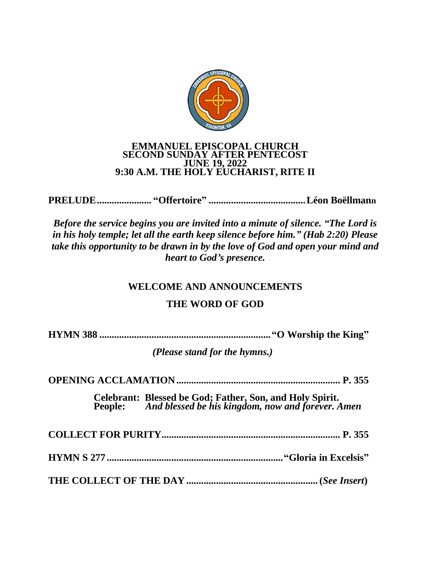

# EMMANUEL EPISCOPAL CHURCH<br>SECOND SUNDAY AFTER PENTECOST **JUNE 19, 2022** 9:30 A.M. THE HOLY EUCHARIST, RITE II

Before the service begins you are invited into a minute of silence. "The Lord is in his holy temple; let all the earth keep silence before him." (Hab 2:20) Please take this opportunity to be drawn in by the love of God and open your mind and heart to God's presence.

## **WELCOME AND ANNOUNCEMENTS**

## **THE WORD OF GOD**

(Please stand for the hymns.)

| Celebrant: Blessed be God; Father, Son, and Holy Spirit.<br>People: And blessed be his kingdom, now and forever. Amen |
|-----------------------------------------------------------------------------------------------------------------------|
|                                                                                                                       |
|                                                                                                                       |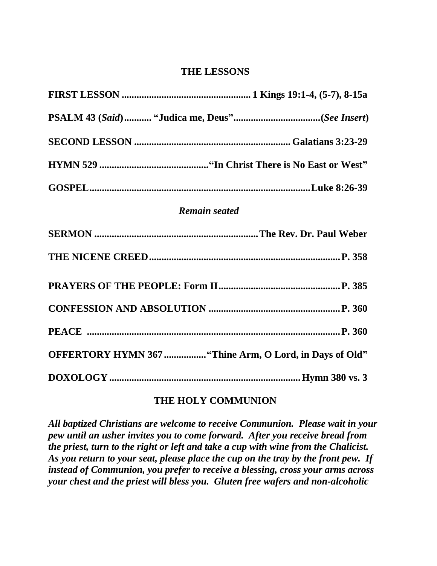#### **THE LESSONS**

| <b>Remain seated</b>                                    |
|---------------------------------------------------------|
|                                                         |
|                                                         |
|                                                         |
|                                                         |
|                                                         |
| OFFERTORY HYMN 367  "Thine Arm, O Lord, in Days of Old" |
|                                                         |

#### **THE HOLY COMMUNION**

*All baptized Christians are welcome to receive Communion. Please wait in your pew until an usher invites you to come forward. After you receive bread from the priest, turn to the right or left and take a cup with wine from the Chalicist. As you return to your seat, please place the cup on the tray by the front pew. If instead of Communion, you prefer to receive a blessing, cross your arms across your chest and the priest will bless you. Gluten free wafers and non-alcoholic*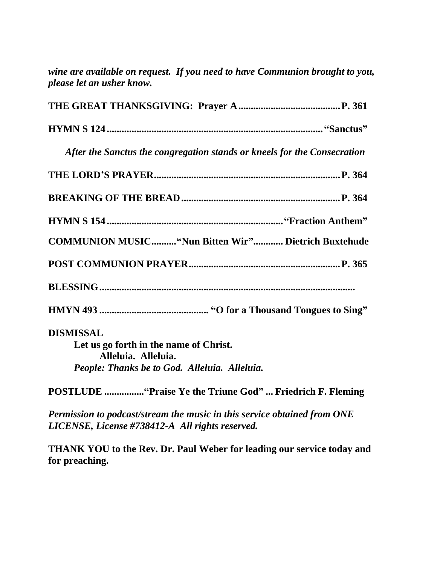|                           | wine are available on request. If you need to have Communion brought to you, |
|---------------------------|------------------------------------------------------------------------------|
| please let an usher know. |                                                                              |

| After the Sanctus the congregation stands or kneels for the Consecration |
|--------------------------------------------------------------------------|
|                                                                          |
|                                                                          |
|                                                                          |
| <b>COMMUNION MUSIC "Nun Bitten Wir" Dietrich Buxtehude</b>               |
|                                                                          |
|                                                                          |
|                                                                          |
| <b>DISMISSAL</b>                                                         |
| Let us go forth in the name of Christ.                                   |
| Alleluia. Alleluia.                                                      |
| People: Thanks be to God. Alleluia. Alleluia.                            |
| POSTLUDE  "Praise Ye the Triune God"  Friedrich F. Fleming               |
| Permission to podcast/stream the music in this service obtained from ONE |
| LICENSE, License #738412-A All rights reserved.                          |

**THANK YOU to the Rev. Dr. Paul Weber for leading our service today and for preaching.**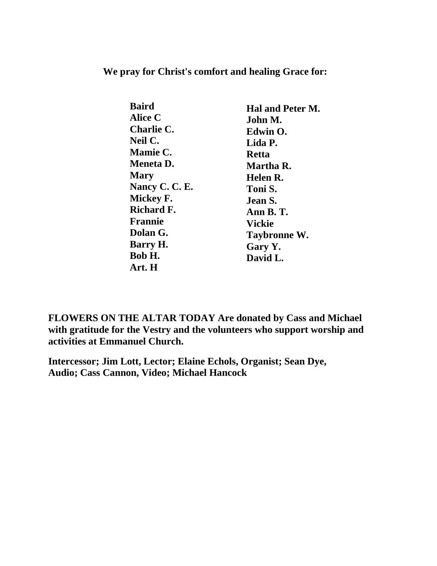**We pray for Christ's comfort and healing Grace for:**

| <b>Baird</b>     | Hal and Peter M.    |
|------------------|---------------------|
| Alice C          | John M.             |
| Charlie C.       | Edwin O.            |
| Neil C.          | Lida P.             |
| <b>Mamie C.</b>  | <b>Retta</b>        |
| <b>Meneta D.</b> | Martha R.           |
| <b>Mary</b>      | Helen R.            |
| Nancy C. C. E.   | Toni S.             |
| Mickey F.        | Jean S.             |
| Richard F.       | Ann B. T.           |
| <b>Frannie</b>   | <b>Vickie</b>       |
| Dolan G.         | <b>Taybronne W.</b> |
| Barry H.         | Gary Y.             |
| Bob H.           | David L.            |
| Art. H           |                     |

**FLOWERS ON THE ALTAR TODAY Are donated by Cass and Michael with gratitude for the Vestry and the volunteers who support worship and activities at Emmanuel Church.**

**Intercessor; Jim Lott, Lector; Elaine Echols, Organist; Sean Dye, Audio; Cass Cannon, Video; Michael Hancock**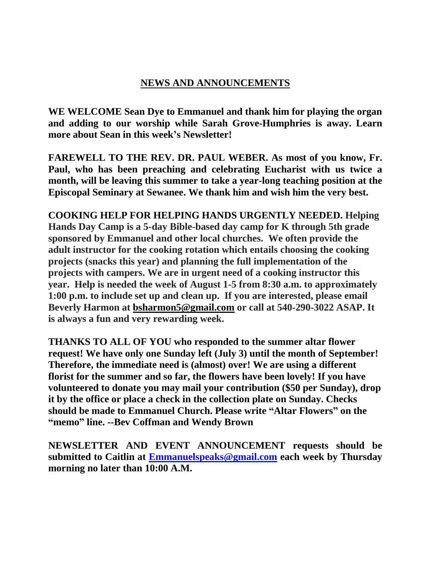### **NEWS AND ANNOUNCEMENTS**

**WE WELCOME Sean Dye to Emmanuel and thank him for playing the organ and adding to our worship while Sarah Grove-Humphries is away. Learn more about Sean in this week's Newsletter!**

**FAREWELL TO THE REV. DR. PAUL WEBER. As most of you know, Fr. Paul, who has been preaching and celebrating Eucharist with us twice a month, will be leaving this summer to take a year-long teaching position at the Episcopal Seminary at Sewanee. We thank him and wish him the very best.**

**COOKING HELP FOR HELPING HANDS URGENTLY NEEDED. Helping Hands Day Camp is a 5-day Bible-based day camp for K through 5th grade sponsored by Emmanuel and other local churches. We often provide the adult instructor for the cooking rotation which entails choosing the cooking projects (snacks this year) and planning the full implementation of the projects with campers. We are in urgent need of a cooking instructor this year. Help is needed the week of August 1-5 from 8:30 a.m. to approximately 1:00 p.m. to include set up and clean up. If you are interested, please email Beverly Harmon at [bsharmon5@gmail.com](mailto:bsharmon5@gmail.com) or call at 540-290-3022 ASAP. It is always a fun and very rewarding week.**

**THANKS TO ALL OF YOU who responded to the summer altar flower request! We have only one Sunday left (July 3) until the month of September! Therefore, the immediate need is (almost) over! We are using a different florist for the summer and so far, the flowers have been lovely! If you have volunteered to donate you may mail your contribution (\$50 per Sunday), drop it by the office or place a check in the collection plate on Sunday. Checks should be made to Emmanuel Church. Please write "Altar Flowers" on the "memo" line. --Bev Coffman and Wendy Brown**

**NEWSLETTER AND EVENT ANNOUNCEMENT requests should be submitted to Caitlin at [Emmanuelspeaks@gmail.com](mailto:Emmanuelspeaks@gmail.com) each week by Thursday morning no later than 10:00 A.M.**